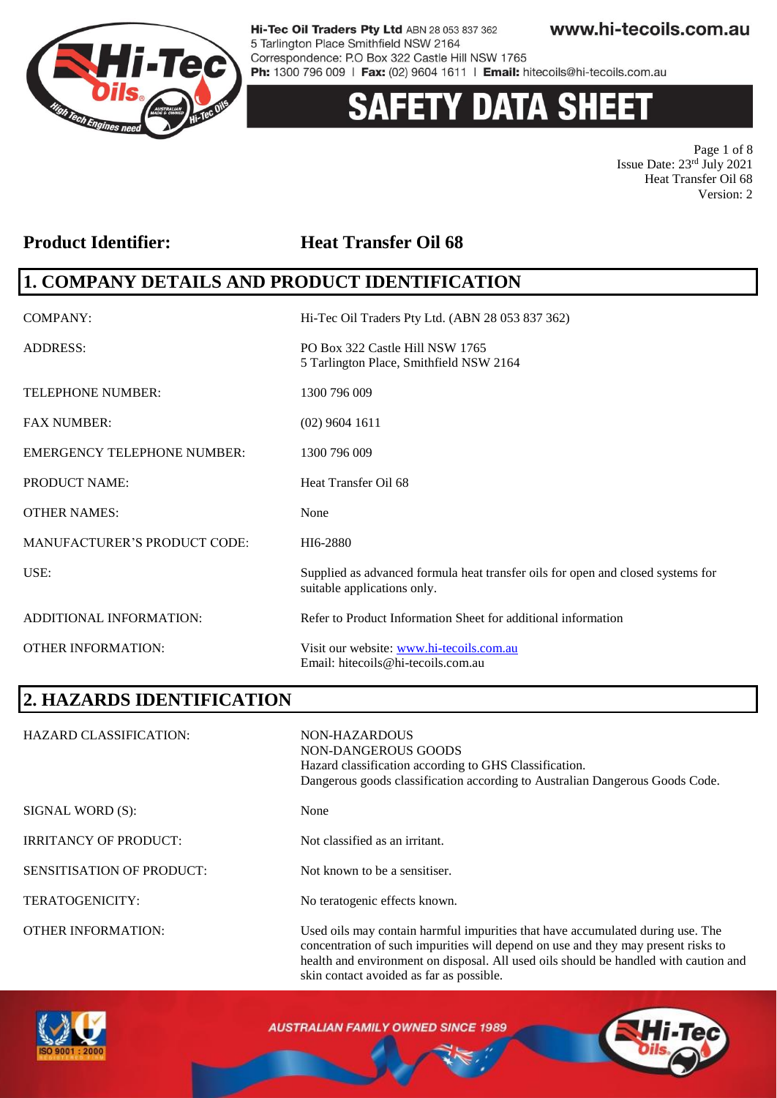

# 'Y DATA SHEET

Page 1 of 8 Issue Date: 23rd July 2021 Heat Transfer Oil 68 Version: 2

### **Product Identifier: Heat Transfer Oil 68**

### **1. COMPANY DETAILS AND PRODUCT IDENTIFICATION**

| <b>COMPANY:</b>                     | Hi-Tec Oil Traders Pty Ltd. (ABN 28 053 837 362)                                                               |
|-------------------------------------|----------------------------------------------------------------------------------------------------------------|
| <b>ADDRESS:</b>                     | PO Box 322 Castle Hill NSW 1765<br>5 Tarlington Place, Smithfield NSW 2164                                     |
| <b>TELEPHONE NUMBER:</b>            | 1300 796 009                                                                                                   |
| <b>FAX NUMBER:</b>                  | $(02)$ 9604 1611                                                                                               |
| <b>EMERGENCY TELEPHONE NUMBER:</b>  | 1300 796 009                                                                                                   |
| <b>PRODUCT NAME:</b>                | Heat Transfer Oil 68                                                                                           |
| <b>OTHER NAMES:</b>                 | None                                                                                                           |
| <b>MANUFACTURER'S PRODUCT CODE:</b> | HI6-2880                                                                                                       |
| USE:                                | Supplied as advanced formula heat transfer oils for open and closed systems for<br>suitable applications only. |
| ADDITIONAL INFORMATION:             | Refer to Product Information Sheet for additional information                                                  |
| <b>OTHER INFORMATION:</b>           | Visit our website: www.hi-tecoils.com.au<br>Email: hitecoils@hi-tecoils.com.au                                 |

### **2. HAZARDS IDENTIFICATION**

| <b>HAZARD CLASSIFICATION:</b> | NON-HAZARDOUS<br>NON-DANGEROUS GOODS<br>Hazard classification according to GHS Classification.<br>Dangerous goods classification according to Australian Dangerous Goods Code.                                                                              |
|-------------------------------|-------------------------------------------------------------------------------------------------------------------------------------------------------------------------------------------------------------------------------------------------------------|
| SIGNAL WORD (S):              | None                                                                                                                                                                                                                                                        |
| <b>IRRITANCY OF PRODUCT:</b>  | Not classified as an irritant.                                                                                                                                                                                                                              |
| SENSITISATION OF PRODUCT:     | Not known to be a sensitiser.                                                                                                                                                                                                                               |
| TERATOGENICITY:               | No teratogenic effects known.                                                                                                                                                                                                                               |
| <b>OTHER INFORMATION:</b>     | Used oils may contain harmful impurities that have accumulated during use. The<br>concentration of such impurities will depend on use and they may present risks to<br>health and environment on disposal. All used oils should be handled with caution and |



**AUSTRALIAN FAMILY OWNED SINCE 1989** 

skin contact avoided as far as possible.

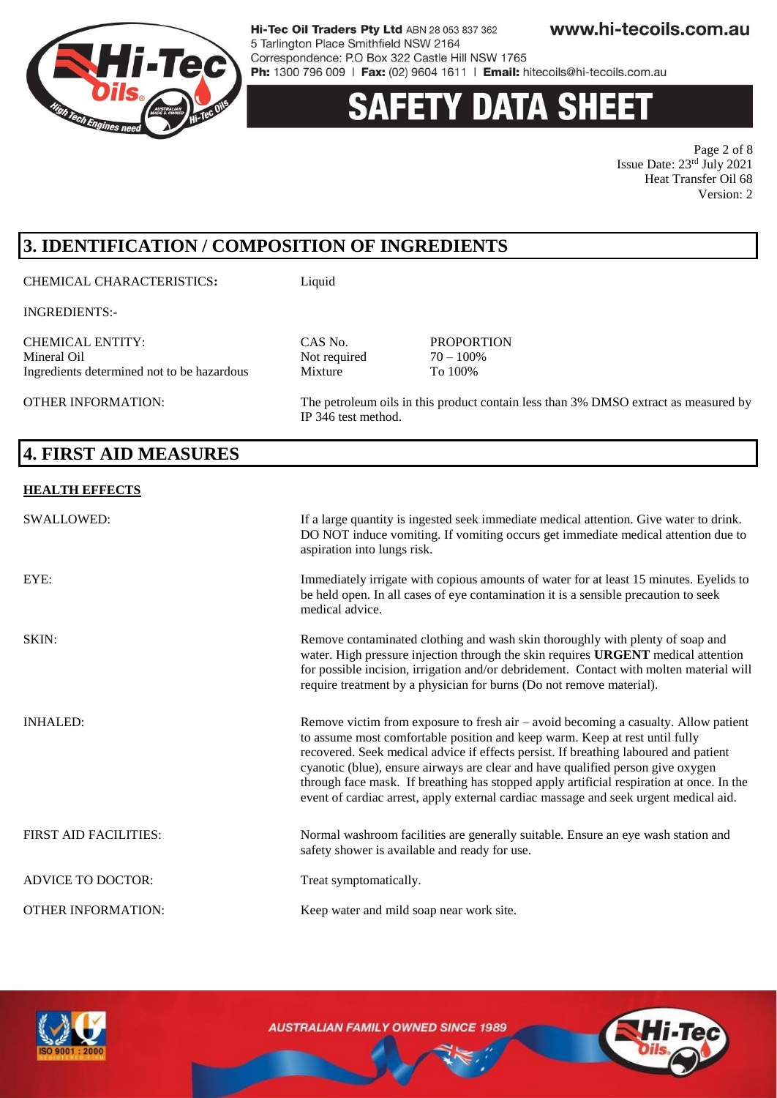

# 'Y DATA SHEE'

Page 2 of 8 Issue Date: 23rd July 2021 Heat Transfer Oil 68 Version: 2

# **3. IDENTIFICATION / COMPOSITION OF INGREDIENTS**

CHEMICAL CHARACTERISTICS**:** Liquid

INGREDIENTS:-

CHEMICAL ENTITY: CAS No. PROPORTION Ingredients determined not to be hazardous Mixture

OTHER INFORMATION: The petroleum oils in this product contain less than 3% DMSO extract as measured by IP 346 test method.

# **4. FIRST AID MEASURES**

#### **HEALTH EFFECTS**

| <b>SWALLOWED:</b>            | If a large quantity is ingested seek immediate medical attention. Give water to drink.<br>DO NOT induce vomiting. If vomiting occurs get immediate medical attention due to<br>aspiration into lungs risk.                                                                                                                                                                                                                                                                                                                          |
|------------------------------|-------------------------------------------------------------------------------------------------------------------------------------------------------------------------------------------------------------------------------------------------------------------------------------------------------------------------------------------------------------------------------------------------------------------------------------------------------------------------------------------------------------------------------------|
| EYE:                         | Immediately irrigate with copious amounts of water for at least 15 minutes. Eyelids to<br>be held open. In all cases of eye contamination it is a sensible precaution to seek<br>medical advice.                                                                                                                                                                                                                                                                                                                                    |
| SKIN:                        | Remove contaminated clothing and wash skin thoroughly with plenty of soap and<br>water. High pressure injection through the skin requires URGENT medical attention<br>for possible incision, irrigation and/or debridement. Contact with molten material will<br>require treatment by a physician for burns (Do not remove material).                                                                                                                                                                                               |
| <b>INHALED:</b>              | Remove victim from exposure to fresh air $-$ avoid becoming a casualty. Allow patient<br>to assume most comfortable position and keep warm. Keep at rest until fully<br>recovered. Seek medical advice if effects persist. If breathing laboured and patient<br>cyanotic (blue), ensure airways are clear and have qualified person give oxygen<br>through face mask. If breathing has stopped apply artificial respiration at once. In the<br>event of cardiac arrest, apply external cardiac massage and seek urgent medical aid. |
| <b>FIRST AID FACILITIES:</b> | Normal washroom facilities are generally suitable. Ensure an eye wash station and<br>safety shower is available and ready for use.                                                                                                                                                                                                                                                                                                                                                                                                  |
| <b>ADVICE TO DOCTOR:</b>     | Treat symptomatically.                                                                                                                                                                                                                                                                                                                                                                                                                                                                                                              |
| <b>OTHER INFORMATION:</b>    | Keep water and mild soap near work site.                                                                                                                                                                                                                                                                                                                                                                                                                                                                                            |

Not required  $70 - 100$ <sup>%</sup><br>Mixture To  $100%$ 

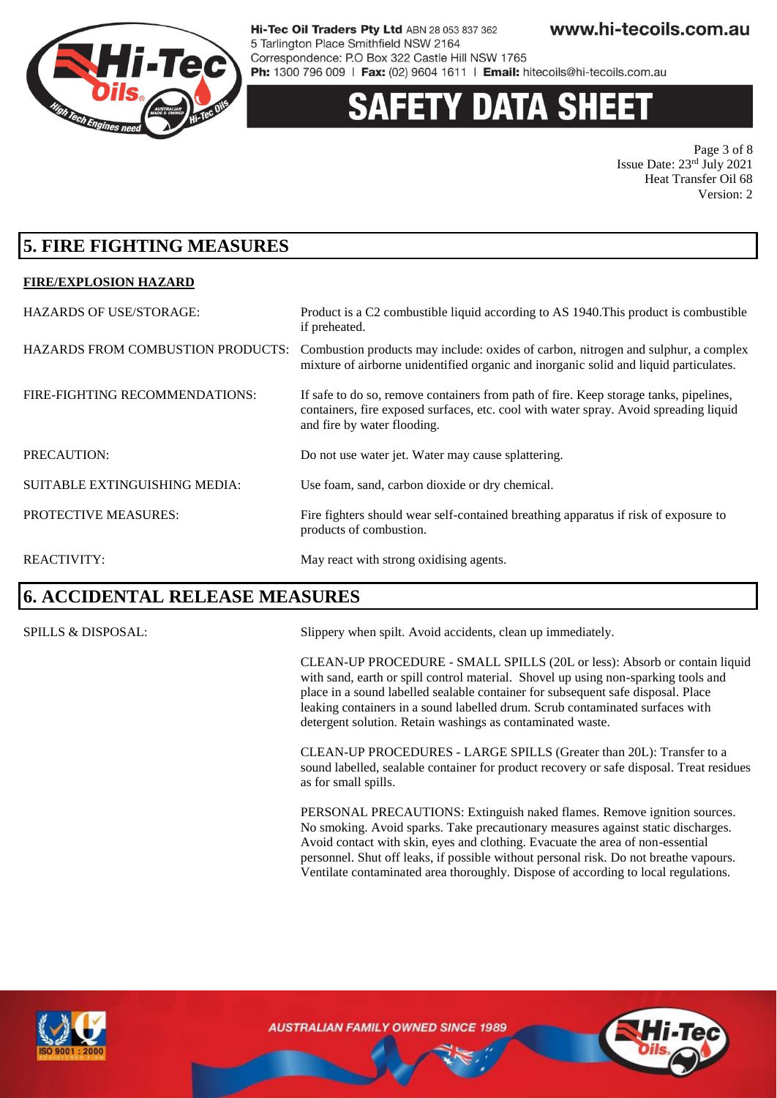

# 'Y DATA SHEE

Page 3 of 8 Issue Date: 23rd July 2021 Heat Transfer Oil 68 Version: 2

### **5. FIRE FIGHTING MEASURES**

#### **FIRE/EXPLOSION HAZARD**

| <b>HAZARDS OF USE/STORAGE:</b>           | Product is a C2 combustible liquid according to AS 1940. This product is combustible<br>if preheated.                                                                                                         |
|------------------------------------------|---------------------------------------------------------------------------------------------------------------------------------------------------------------------------------------------------------------|
| <b>HAZARDS FROM COMBUSTION PRODUCTS:</b> | Combustion products may include: oxides of carbon, nitrogen and sulphur, a complex<br>mixture of airborne unidentified organic and inorganic solid and liquid particulates.                                   |
| FIRE-FIGHTING RECOMMENDATIONS:           | If safe to do so, remove containers from path of fire. Keep storage tanks, pipelines,<br>containers, fire exposed surfaces, etc. cool with water spray. Avoid spreading liquid<br>and fire by water flooding. |
| PRECAUTION:                              | Do not use water jet. Water may cause splattering.                                                                                                                                                            |
| <b>SUITABLE EXTINGUISHING MEDIA:</b>     | Use foam, sand, carbon dioxide or dry chemical.                                                                                                                                                               |
| <b>PROTECTIVE MEASURES:</b>              | Fire fighters should wear self-contained breathing apparatus if risk of exposure to<br>products of combustion.                                                                                                |
| <b>REACTIVITY:</b>                       | May react with strong oxidising agents.                                                                                                                                                                       |

### **6. ACCIDENTAL RELEASE MEASURES**

SPILLS & DISPOSAL: Slippery when spilt. Avoid accidents, clean up immediately.

CLEAN-UP PROCEDURE - SMALL SPILLS (20L or less): Absorb or contain liquid with sand, earth or spill control material. Shovel up using non-sparking tools and place in a sound labelled sealable container for subsequent safe disposal. Place leaking containers in a sound labelled drum. Scrub contaminated surfaces with detergent solution. Retain washings as contaminated waste.

CLEAN-UP PROCEDURES - LARGE SPILLS (Greater than 20L): Transfer to a sound labelled, sealable container for product recovery or safe disposal. Treat residues as for small spills.

PERSONAL PRECAUTIONS: Extinguish naked flames. Remove ignition sources. No smoking. Avoid sparks. Take precautionary measures against static discharges. Avoid contact with skin, eyes and clothing. Evacuate the area of non-essential personnel. Shut off leaks, if possible without personal risk. Do not breathe vapours. Ventilate contaminated area thoroughly. Dispose of according to local regulations.



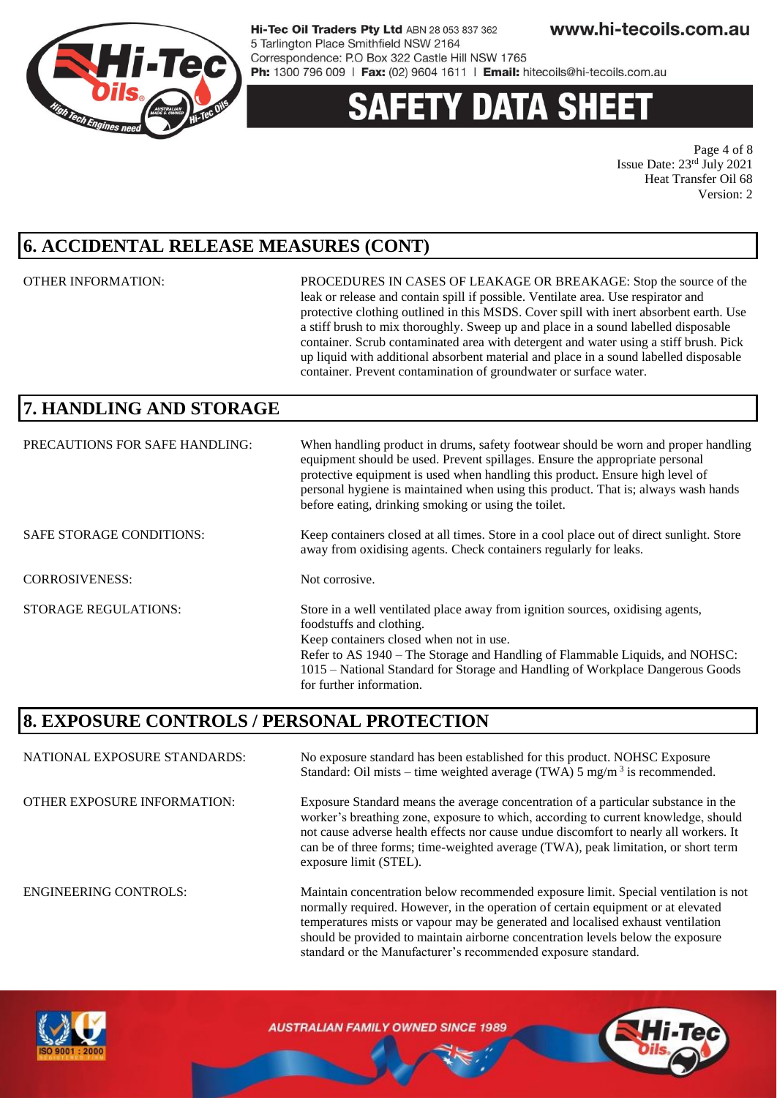

# 'Y DATA SHEE

Page 4 of 8 Issue Date: 23rd July 2021 Heat Transfer Oil 68 Version: 2

### **6. ACCIDENTAL RELEASE MEASURES (CONT)**

OTHER INFORMATION: PROCEDURES IN CASES OF LEAKAGE OR BREAKAGE: Stop the source of the leak or release and contain spill if possible. Ventilate area. Use respirator and protective clothing outlined in this MSDS. Cover spill with inert absorbent earth. Use a stiff brush to mix thoroughly. Sweep up and place in a sound labelled disposable container. Scrub contaminated area with detergent and water using a stiff brush. Pick up liquid with additional absorbent material and place in a sound labelled disposable container. Prevent contamination of groundwater or surface water.

should be provided to maintain airborne concentration levels below the exposure

standard or the Manufacturer's recommended exposure standard.

### **7. HANDLING AND STORAGE**

| PRECAUTIONS FOR SAFE HANDLING:  | When handling product in drums, safety footwear should be worn and proper handling<br>equipment should be used. Prevent spillages. Ensure the appropriate personal<br>protective equipment is used when handling this product. Ensure high level of<br>personal hygiene is maintained when using this product. That is; always wash hands<br>before eating, drinking smoking or using the toilet. |
|---------------------------------|---------------------------------------------------------------------------------------------------------------------------------------------------------------------------------------------------------------------------------------------------------------------------------------------------------------------------------------------------------------------------------------------------|
| <b>SAFE STORAGE CONDITIONS:</b> | Keep containers closed at all times. Store in a cool place out of direct sunlight. Store<br>away from oxidising agents. Check containers regularly for leaks.                                                                                                                                                                                                                                     |
| <b>CORROSIVENESS:</b>           | Not corrosive.                                                                                                                                                                                                                                                                                                                                                                                    |
| <b>STORAGE REGULATIONS:</b>     | Store in a well ventilated place away from ignition sources, oxidising agents,<br>foodstuffs and clothing.<br>Keep containers closed when not in use.<br>Refer to AS 1940 – The Storage and Handling of Flammable Liquids, and NOHSC:<br>1015 – National Standard for Storage and Handling of Workplace Dangerous Goods<br>for further information.                                               |

### **8. EXPOSURE CONTROLS / PERSONAL PROTECTION**

NATIONAL EXPOSURE STANDARDS: No exposure standard has been established for this product. NOHSC Exposure Standard: Oil mists – time weighted average (TWA)  $5 \text{ mg/m}^3$  is recommended. OTHER EXPOSURE INFORMATION: Exposure Standard means the average concentration of a particular substance in the worker's breathing zone, exposure to which, according to current knowledge, should not cause adverse health effects nor cause undue discomfort to nearly all workers. It can be of three forms; time-weighted average (TWA), peak limitation, or short term exposure limit (STEL). ENGINEERING CONTROLS: Maintain concentration below recommended exposure limit. Special ventilation is not normally required. However, in the operation of certain equipment or at elevated temperatures mists or vapour may be generated and localised exhaust ventilation

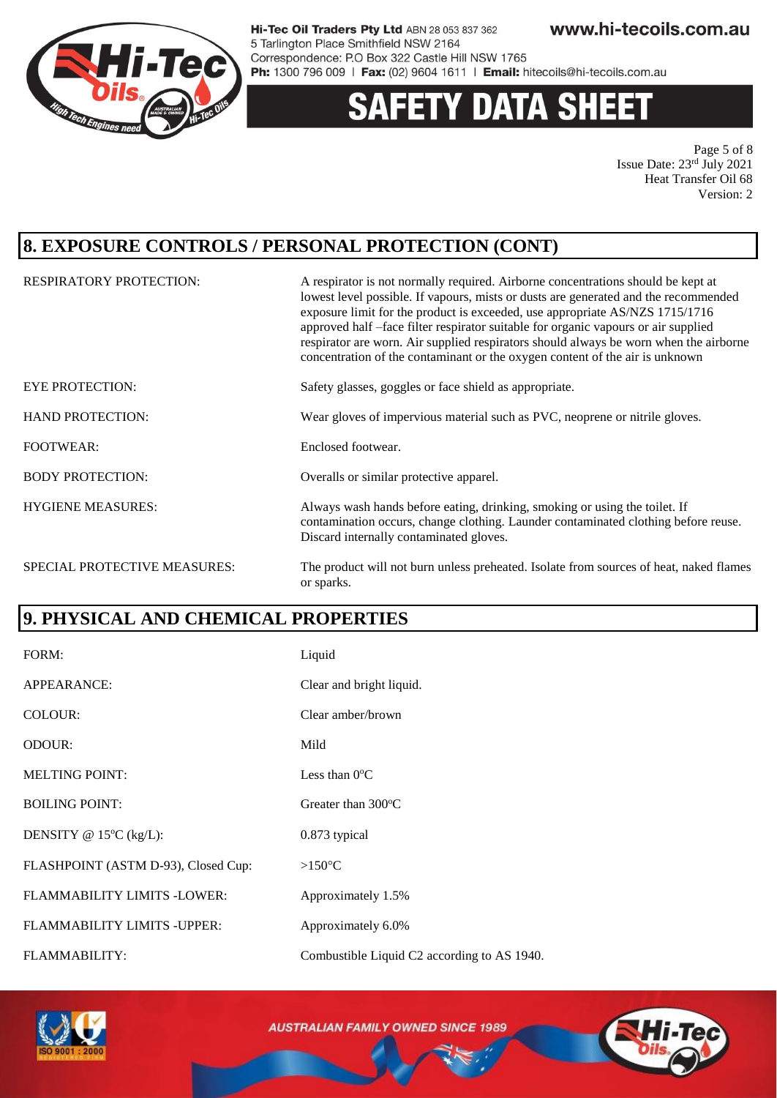

# y data sheet

Page 5 of 8 Issue Date: 23rd July 2021 Heat Transfer Oil 68 Version: 2

### **8. EXPOSURE CONTROLS / PERSONAL PROTECTION (CONT)**

| <b>RESPIRATORY PROTECTION:</b> | A respirator is not normally required. Airborne concentrations should be kept at<br>lowest level possible. If vapours, mists or dusts are generated and the recommended<br>exposure limit for the product is exceeded, use appropriate AS/NZS 1715/1716<br>approved half -face filter respirator suitable for organic vapours or air supplied<br>respirator are worn. Air supplied respirators should always be worn when the airborne<br>concentration of the contaminant or the oxygen content of the air is unknown |
|--------------------------------|------------------------------------------------------------------------------------------------------------------------------------------------------------------------------------------------------------------------------------------------------------------------------------------------------------------------------------------------------------------------------------------------------------------------------------------------------------------------------------------------------------------------|
| <b>EYE PROTECTION:</b>         | Safety glasses, goggles or face shield as appropriate.                                                                                                                                                                                                                                                                                                                                                                                                                                                                 |
| <b>HAND PROTECTION:</b>        | Wear gloves of impervious material such as PVC, neoprene or nitrile gloves.                                                                                                                                                                                                                                                                                                                                                                                                                                            |
| <b>FOOTWEAR:</b>               | Enclosed footwear.                                                                                                                                                                                                                                                                                                                                                                                                                                                                                                     |
| <b>BODY PROTECTION:</b>        | Overalls or similar protective apparel.                                                                                                                                                                                                                                                                                                                                                                                                                                                                                |
| <b>HYGIENE MEASURES:</b>       | Always wash hands before eating, drinking, smoking or using the toilet. If<br>contamination occurs, change clothing. Launder contaminated clothing before reuse.<br>Discard internally contaminated gloves.                                                                                                                                                                                                                                                                                                            |
| SPECIAL PROTECTIVE MEASURES:   | The product will not burn unless preheated. Isolate from sources of heat, naked flames<br>or sparks.                                                                                                                                                                                                                                                                                                                                                                                                                   |

### **9. PHYSICAL AND CHEMICAL PROPERTIES**

| FORM:                               | Liquid                                      |
|-------------------------------------|---------------------------------------------|
| APPEARANCE:                         | Clear and bright liquid.                    |
| COLOUR:                             | Clear amber/brown                           |
| ODOUR:                              | Mild                                        |
| <b>MELTING POINT:</b>               | Less than $0^{\circ}$ C                     |
| <b>BOILING POINT:</b>               | Greater than $300^{\circ}$ C                |
| DENSITY @ $15^{\circ}C$ (kg/L):     | 0.873 typical                               |
| FLASHPOINT (ASTM D-93), Closed Cup: | $>150^{\circ}$ C                            |
| FLAMMABILITY LIMITS -LOWER:         | Approximately 1.5%                          |
| FLAMMABILITY LIMITS - UPPER:        | Approximately 6.0%                          |
| FLAMMABILITY:                       | Combustible Liquid C2 according to AS 1940. |



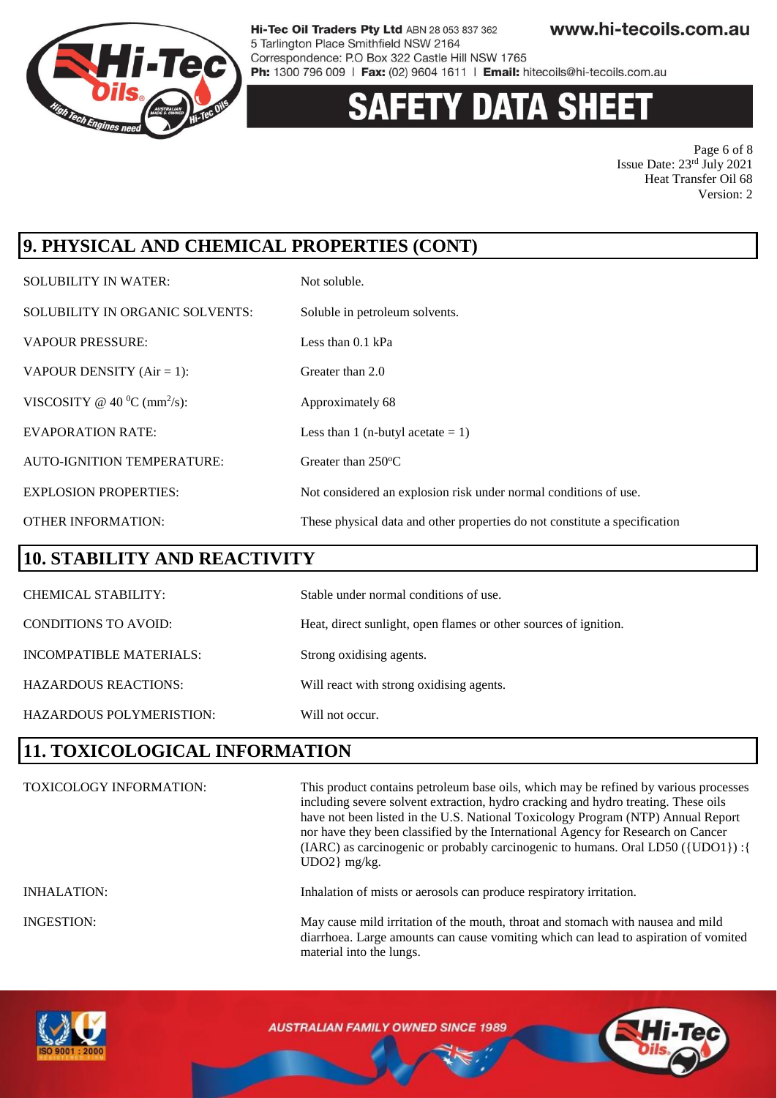

# **Y DATA SHEET**

Page 6 of 8 Issue Date: 23rd July 2021 Heat Transfer Oil 68 Version: 2

# **9. PHYSICAL AND CHEMICAL PROPERTIES (CONT)**

| <b>SOLUBILITY IN WATER:</b>                 | Not soluble.                                                               |
|---------------------------------------------|----------------------------------------------------------------------------|
| SOLUBILITY IN ORGANIC SOLVENTS:             | Soluble in petroleum solvents.                                             |
| <b>VAPOUR PRESSURE:</b>                     | Less than $0.1$ kPa                                                        |
| VAPOUR DENSITY $(Air = 1)$ :                | Greater than 2.0                                                           |
| VISCOSITY @ 40 $^0$ C (mm <sup>2</sup> /s): | Approximately 68                                                           |
| <b>EVAPORATION RATE:</b>                    | Less than 1 (n-butyl acetate $= 1$ )                                       |
| <b>AUTO-IGNITION TEMPERATURE:</b>           | Greater than 250°C                                                         |
| <b>EXPLOSION PROPERTIES:</b>                | Not considered an explosion risk under normal conditions of use.           |
| <b>OTHER INFORMATION:</b>                   | These physical data and other properties do not constitute a specification |

#### **10. STABILITY AND REACTIVITY**

| <b>CHEMICAL STABILITY:</b>  | Stable under normal conditions of use.                           |
|-----------------------------|------------------------------------------------------------------|
| CONDITIONS TO AVOID:        | Heat, direct sunlight, open flames or other sources of ignition. |
| INCOMPATIBLE MATERIALS:     | Strong oxidising agents.                                         |
| <b>HAZARDOUS REACTIONS:</b> | Will react with strong oxidising agents.                         |
| HAZARDOUS POLYMERISTION:    | Will not occur.                                                  |

### **11. TOXICOLOGICAL INFORMATION**

| <b>TOXICOLOGY INFORMATION:</b> | This product contains petroleum base oils, which may be refined by various processes<br>including severe solvent extraction, hydro cracking and hydro treating. These oils<br>have not been listed in the U.S. National Toxicology Program (NTP) Annual Report<br>nor have they been classified by the International Agency for Research on Cancer<br>(IARC) as carcinogenic or probably carcinogenic to humans. Oral LD50 ({UDO1}) : {<br>$UDO2$ } mg/kg. |
|--------------------------------|------------------------------------------------------------------------------------------------------------------------------------------------------------------------------------------------------------------------------------------------------------------------------------------------------------------------------------------------------------------------------------------------------------------------------------------------------------|
| <b>INHALATION:</b>             | Inhalation of mists or aerosols can produce respiratory irritation.                                                                                                                                                                                                                                                                                                                                                                                        |
| <b>INGESTION:</b>              | May cause mild irritation of the mouth, throat and stomach with nausea and mild<br>diarrhoea. Large amounts can cause vomiting which can lead to aspiration of vomited<br>material into the lungs.                                                                                                                                                                                                                                                         |

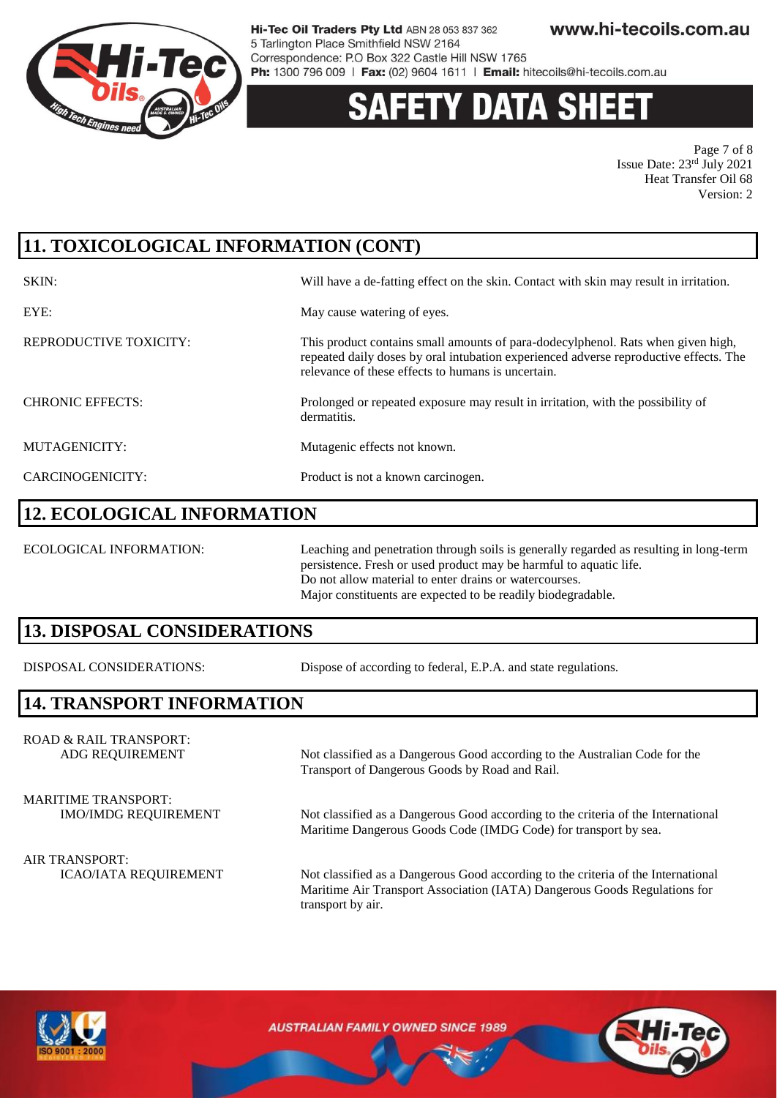

# 'Y DATA SH

Page 7 of 8 Issue Date: 23rd July 2021 Heat Transfer Oil 68 Version: 2

# **11. TOXICOLOGICAL INFORMATION (CONT)**

| SKIN:                   | Will have a de-fatting effect on the skin. Contact with skin may result in irritation.                                                                                                                                          |
|-------------------------|---------------------------------------------------------------------------------------------------------------------------------------------------------------------------------------------------------------------------------|
| EYE:                    | May cause watering of eyes.                                                                                                                                                                                                     |
| REPRODUCTIVE TOXICITY:  | This product contains small amounts of para-dodecylphenol. Rats when given high,<br>repeated daily doses by oral intubation experienced adverse reproductive effects. The<br>relevance of these effects to humans is uncertain. |
| <b>CHRONIC EFFECTS:</b> | Prolonged or repeated exposure may result in irritation, with the possibility of<br>dermatitis.                                                                                                                                 |
| MUTAGENICITY:           | Mutagenic effects not known.                                                                                                                                                                                                    |
| CARCINOGENICITY:        | Product is not a known carcinogen.                                                                                                                                                                                              |

#### **12. ECOLOGICAL INFORMATION**

ECOLOGICAL INFORMATION: Leaching and penetration through soils is generally regarded as resulting in long-term persistence. Fresh or used product may be harmful to aquatic life. Do not allow material to enter drains or watercourses. Major constituents are expected to be readily biodegradable.

### **13. DISPOSAL CONSIDERATIONS**

DISPOSAL CONSIDERATIONS: Dispose of according to federal, E.P.A. and state regulations.

Transport of Dangerous Goods by Road and Rail.

### **14. TRANSPORT INFORMATION**

ROAD & RAIL TRANSPORT: ADG REQUIREMENT Not classified as a Dangerous Good according to the Australian Code for the

MARITIME TRANSPORT:

IMO/IMDG REQUIREMENT Not classified as a Dangerous Good according to the criteria of the International

Maritime Dangerous Goods Code (IMDG Code) for transport by sea.

AIR TRANSPORT:

ICAO/IATA REQUIREMENT Not classified as a Dangerous Good according to the criteria of the International Maritime Air Transport Association (IATA) Dangerous Goods Regulations for transport by air.